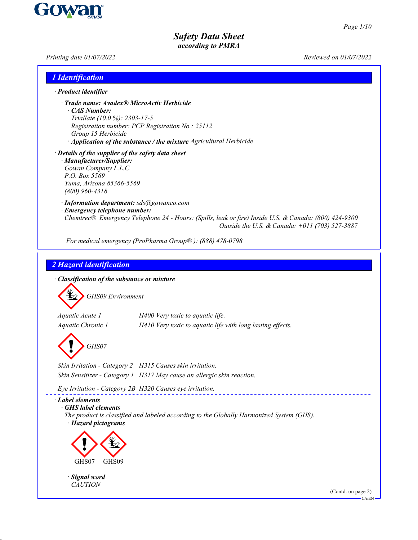$-CA/EN$ 

# *Safety Data Sheet according to PMRA*

*Printing date 01/07/2022 Reviewed on 01/07/2022*

| $\cdot$ Product identifier                                                                                                                                              |                                                                                                                                                         |
|-------------------------------------------------------------------------------------------------------------------------------------------------------------------------|---------------------------------------------------------------------------------------------------------------------------------------------------------|
|                                                                                                                                                                         |                                                                                                                                                         |
| · Trade name: Avadex® MicroActiv Herbicide<br>CAS Number:<br>Triallate (10.0 %): 2303-17-5<br>Group 15 Herbicide                                                        | Registration number: PCP Registration No.: 25112<br>· Application of the substance / the mixture Agricultural Herbicide                                 |
| · Details of the supplier of the safety data sheet<br>· Manufacturer/Supplier:<br>Gowan Company L.L.C.<br>P.O. Box 5569<br>Yuma, Arizona 85366-5569<br>$(800)$ 960-4318 |                                                                                                                                                         |
| · Information department: sds@gowanco.com<br>· Emergency telephone number:                                                                                              | Chemtrec® Emergency Telephone 24 - Hours: (Spills, leak or fire) Inside U.S. & Canada: (800) 424-9300<br>Outside the U.S. & Canada: +011 (703) 527-3887 |
|                                                                                                                                                                         | For medical emergency (ProPharma Group®): (888) 478-0798                                                                                                |
|                                                                                                                                                                         |                                                                                                                                                         |
| 2 Hazard identification                                                                                                                                                 |                                                                                                                                                         |
|                                                                                                                                                                         |                                                                                                                                                         |
| · Classification of the substance or mixture                                                                                                                            |                                                                                                                                                         |
| <b>GHS09</b> Environment                                                                                                                                                |                                                                                                                                                         |
| Aquatic Acute 1                                                                                                                                                         |                                                                                                                                                         |
|                                                                                                                                                                         |                                                                                                                                                         |
|                                                                                                                                                                         | H400 Very toxic to aquatic life.                                                                                                                        |
| Aquatic Chronic 1                                                                                                                                                       | H410 Very toxic to aquatic life with long lasting effects.                                                                                              |
|                                                                                                                                                                         |                                                                                                                                                         |
| GHS07                                                                                                                                                                   |                                                                                                                                                         |
|                                                                                                                                                                         | Skin Irritation - Category 2 H315 Causes skin irritation.                                                                                               |
|                                                                                                                                                                         | Skin Sensitizer - Category 1 H317 May cause an allergic skin reaction.                                                                                  |
|                                                                                                                                                                         |                                                                                                                                                         |
| Eye Irritation - Category 2B H320 Causes eye irritation.<br><b>GHS</b> label elements<br>· Hazard pictograms                                                            | The product is classified and labeled according to the Globally Harmonized System (GHS).                                                                |
|                                                                                                                                                                         |                                                                                                                                                         |
| GHS07<br>GHS09                                                                                                                                                          |                                                                                                                                                         |
| · Label elements<br>· Signal word                                                                                                                                       |                                                                                                                                                         |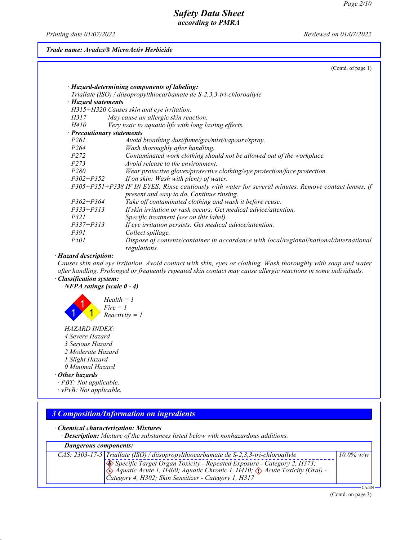*Printing date 01/07/2022 Reviewed on 01/07/2022*

### *Trade name: Avadex® MicroActiv Herbicide*

(Contd. of page 1)

| · Hazard statements | Triallate (ISO) / diisopropylthiocarbamate de S-2,3,3-tri-chloroallyle                                 |
|---------------------|--------------------------------------------------------------------------------------------------------|
|                     | H315+H320 Causes skin and eye irritation.                                                              |
| H317                | May cause an allergic skin reaction.                                                                   |
| H410                | Very toxic to aquatic life with long lasting effects.                                                  |
|                     | $\cdot$ Precautionary statements                                                                       |
| <i>P261</i>         | Avoid breathing dust/fume/gas/mist/vapours/spray.                                                      |
| <i>P264</i>         | Wash thoroughly after handling.                                                                        |
| <i>P272</i>         | Contaminated work clothing should not be allowed out of the workplace.                                 |
| P <sub>273</sub>    | Avoid release to the environment.                                                                      |
| <i>P280</i>         | Wear protective gloves/protective clothing/eye protection/face protection.                             |
| $P302 + P352$       | If on skin: Wash with plenty of water.                                                                 |
|                     | P305+P351+P338 IF IN EYES: Rinse cautiously with water for several minutes. Remove contact lenses, if  |
|                     | present and easy to do. Continue rinsing.                                                              |
| $P362 + P364$       | Take off contaminated clothing and wash it before reuse.                                               |
| $P333 + P313$       | If skin irritation or rash occurs: Get medical advice/attention.                                       |
| <i>P321</i>         | Specific treatment (see on this label).                                                                |
| $P337 + P313$       | If eye irritation persists: Get medical advice/attention.                                              |
| <i>P391</i>         | Collect spillage.                                                                                      |
| <i>P501</i>         | Dispose of contents/container in accordance with local/regional/national/international<br>regulations. |

### *· Hazard description:*

*Causes skin and eye irritation. Avoid contact with skin, eyes or clothing. Wash thoroughly with soap and water after handling. Prolonged or frequently repeated skin contact may cause allergic reactions in some individuals. · Classification system:*

# *· NFPA ratings (scale 0 - 4)*



- *HAZARD INDEX:*
- *4 Severe Hazard*
- *3 Serious Hazard*
- *2 Moderate Hazard*
- *1 Slight Hazard*
- *0 Minimal Hazard*

# *· Other hazards*

- *· PBT: Not applicable.*
- *· vPvB: Not applicable.*

|                         | • Chemical characterization: Mixtures<br>· Description: Mixture of the substances listed below with nonhazardous additions.                                                                                                             |              |
|-------------------------|-----------------------------------------------------------------------------------------------------------------------------------------------------------------------------------------------------------------------------------------|--------------|
| · Dangerous components: |                                                                                                                                                                                                                                         |              |
|                         |                                                                                                                                                                                                                                         | $10.0\%$ w/w |
|                         | CAS: 2303-17-5 Triallate (ISO) / diisopropylthiocarbamate de S-2,3,3-tri-chloroallyle<br>Specific Target Organ Toxicity - Repeated Exposure - Category 2, H373;<br>Aquatic Acute 1, H400; Aquatic Chronic 1, H410; $\Diamond$ Acute Tox |              |

(Contd. on page 3)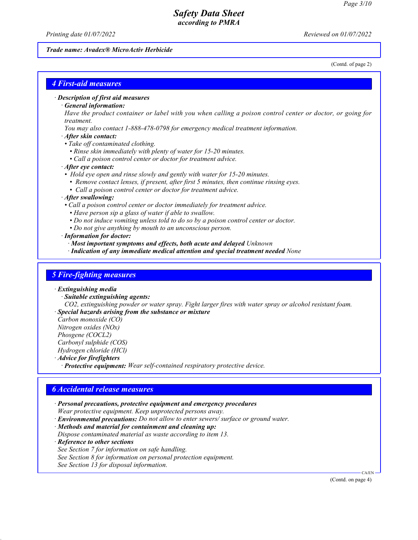*Printing date 01/07/2022 Reviewed on 01/07/2022*

#### *Trade name: Avadex® MicroActiv Herbicide*

(Contd. of page 2)

### *4 First-aid measures*

*· Description of first aid measures*

#### *· General information:*

*Have the product container or label with you when calling a poison control center or doctor, or going for treatment.*

- *You may also contact 1-888-478-0798 for emergency medical treatment information.*
- *· After skin contact:*
- *Take off contaminated clothing.*
	- *Rinse skin immediately with plenty of water for 15-20 minutes.*
	- *Call a poison control center or doctor for treatment advice.*

### *· After eye contact:*

- *Hold eye open and rinse slowly and gently with water for 15-20 minutes.*
	- *Remove contact lenses, if present, after first 5 minutes, then continue rinsing eyes.*
	- *Call a poison control center or doctor for treatment advice.*

#### *· After swallowing:*

- *Call a poison control center or doctor immediately for treatment advice.*
	- *Have person sip a glass of water if able to swallow.*
	- *Do not induce vomiting unless told to do so by a poison control center or doctor.*
- *Do not give anything by mouth to an unconscious person.*

*· Information for doctor:*

- *· Most important symptoms and effects, both acute and delayed Unknown*
- *· Indication of any immediate medical attention and special treatment needed None*

### *5 Fire-fighting measures*

### *· Extinguishing media*

- *· Suitable extinguishing agents:*
- *CO2, extinguishing powder or water spray. Fight larger fires with water spray or alcohol resistant foam.*
- *· Special hazards arising from the substance or mixture Carbon monoxide (CO)*

*Nitrogen oxides (NOx)*

*Phosgene (COCL2)*

*Carbonyl sulphide (COS)*

*Hydrogen chloride (HCl)*

*· Advice for firefighters*

*· Protective equipment: Wear self-contained respiratory protective device.*

### *6 Accidental release measures*

- *· Personal precautions, protective equipment and emergency procedures Wear protective equipment. Keep unprotected persons away.*
- *· Environmental precautions: Do not allow to enter sewers/ surface or ground water.*

*· Methods and material for containment and cleaning up:*

*Dispose contaminated material as waste according to item 13.*

*· Reference to other sections*

- *See Section 7 for information on safe handling. See Section 8 for information on personal protection equipment.*
- 

*See Section 13 for disposal information.*

(Contd. on page 4)

CA/EN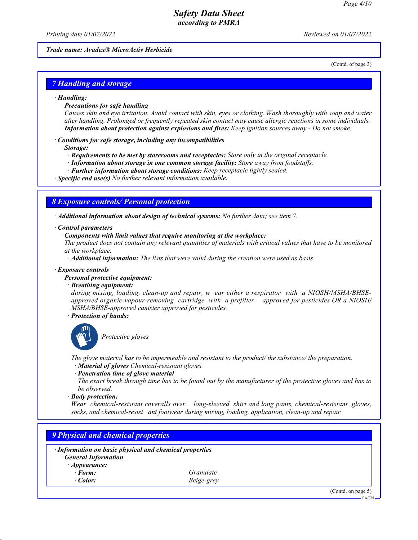*Printing date 01/07/2022 Reviewed on 01/07/2022*

#### *Trade name: Avadex® MicroActiv Herbicide*

(Contd. of page 3)

### *7 Handling and storage*

#### *· Handling:*

*· Precautions for safe handling*

*Causes skin and eye irritation. Avoid contact with skin, eyes or clothing. Wash thoroughly with soap and water after handling. Prolonged or frequently repeated skin contact may cause allergic reactions in some individuals. · Information about protection against explosions and fires: Keep ignition sources away - Do not smoke.*

*· Conditions for safe storage, including any incompatibilities*

#### *· Storage:*

- *· Requirements to be met by storerooms and receptacles: Store only in the original receptacle.*
- *· Information about storage in one common storage facility: Store away from foodstuffs.*
- *· Further information about storage conditions: Keep receptacle tightly sealed.*

*· Specific end use(s) No further relevant information available.*

### *8 Exposure controls/ Personal protection*

*· Additional information about design of technical systems: No further data; see item 7.*

### *· Control parameters*

#### *· Components with limit values that require monitoring at the workplace:*

*The product does not contain any relevant quantities of materials with critical values that have to be monitored at the workplace.*

*· Additional information: The lists that were valid during the creation were used as basis.*

#### *· Exposure controls*

### *· Personal protective equipment:*

### *· Breathing equipment:*

*during mixing, loading, clean-up and repair, w ear either a respirator with a NIOSH/MSHA/BHSEapproved organic-vapour-removing cartridge with a prefilter approved for pesticides OR a NIOSH/ MSHA/BHSE-approved canister approved for pesticides.*

*· Protection of hands:*



\_S*Protective gloves*

*The glove material has to be impermeable and resistant to the product/ the substance/ the preparation. · Material of gloves Chemical-resistant gloves.*

#### *· Penetration time of glove material*

*The exact break through time has to be found out by the manufacturer of the protective gloves and has to be observed.*

*· Body protection:*

*Wear chemical-resistant coveralls over long-sleeved shirt and long pants, chemical-resistant gloves, socks, and chemical-resist ant footwear during mixing, loading, application, clean-up and repair.*

# *9 Physical and chemical properties*

| · Information on basic physical and chemical properties<br><b>General Information</b> |            |  |
|---------------------------------------------------------------------------------------|------------|--|
| $\cdot$ Appearance:                                                                   |            |  |
| $\cdot$ Form:                                                                         | Granulate  |  |
| $\cdot$ Color:                                                                        | Beige-grey |  |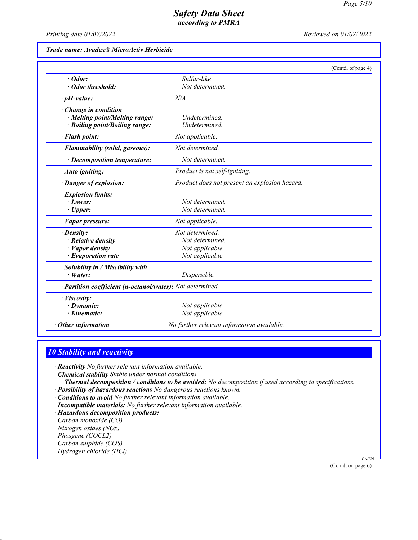*Printing date 01/07/2022 Reviewed on 01/07/2022*

*Trade name: Avadex® MicroActiv Herbicide*

|                                                            | (Contd. of page 4)                            |  |
|------------------------------------------------------------|-----------------------------------------------|--|
| $\cdot$ Odor:                                              | Sulfur-like                                   |  |
| · Odor threshold:                                          | Not determined.                               |  |
| $\cdot$ pH-value:                                          | N/A                                           |  |
| Change in condition                                        |                                               |  |
| · Melting point/Melting range:                             | Undetermined.                                 |  |
| · Boiling point/Boiling range:                             | Undetermined.                                 |  |
| · Flash point:                                             | Not applicable.                               |  |
| · Flammability (solid, gaseous):                           | Not determined.                               |  |
| $\cdot$ Decomposition temperature:                         | Not determined.                               |  |
| · Auto igniting:                                           | Product is not self-igniting.                 |  |
| · Danger of explosion:                                     | Product does not present an explosion hazard. |  |
| · Explosion limits:                                        |                                               |  |
| $\cdot$ Lower:                                             | Not determined.                               |  |
| $\cdot$ Upper:                                             | Not determined.                               |  |
| $\cdot$ <i>Vapor pressure:</i>                             | Not applicable.                               |  |
| $\cdot$ Density:                                           | Not determined.                               |  |
| $\cdot$ Relative density                                   | Not determined.                               |  |
| · Vapor density                                            | Not applicable.                               |  |
| $\cdot$ Evaporation rate                                   | Not applicable.                               |  |
| · Solubility in / Miscibility with                         |                                               |  |
| $\cdot$ Water:                                             | Dispersible.                                  |  |
| · Partition coefficient (n-octanol/water): Not determined. |                                               |  |
| · Viscosity:                                               |                                               |  |
| $\cdot$ Dynamic:                                           | Not applicable.                               |  |
| · Kinematic:                                               | Not applicable.                               |  |
| $\cdot$ Other information                                  | No further relevant information available.    |  |

# *10 Stability and reactivity*

*· Reactivity No further relevant information available.*

*· Chemical stability Stable under normal conditions*

*· Thermal decomposition / conditions to be avoided: No decomposition if used according to specifications.*

- *· Possibility of hazardous reactions No dangerous reactions known.*
- *· Conditions to avoid No further relevant information available.*
- *· Incompatible materials: No further relevant information available.*
- *· Hazardous decomposition products:*

*Carbon monoxide (CO) Nitrogen oxides (NOx) Phosgene (COCL2) Carbon sulphide (COS) Hydrogen chloride (HCl)*

(Contd. on page 6)

CA/EN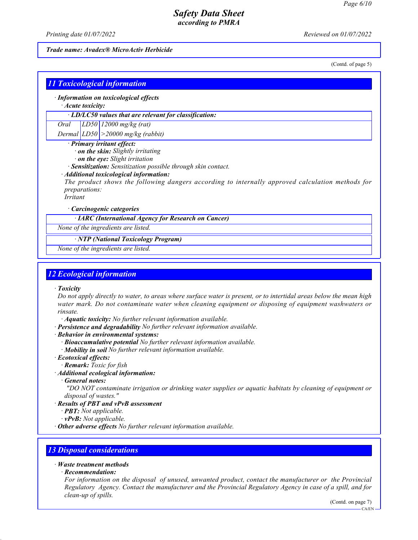*Printing date 01/07/2022 Reviewed on 01/07/2022*

*Trade name: Avadex® MicroActiv Herbicide*

(Contd. of page 5)

|          | $\cdot$ Information on toxicological effects                                                     |
|----------|--------------------------------------------------------------------------------------------------|
|          | $\cdot$ Acute toxicity:                                                                          |
|          | $\cdot$ LD/LC50 values that are relevant for classification:                                     |
| Oral     | $ LD50 12000$ mg/kg (rat)                                                                        |
|          | Dermal $ LDS0  > 20000$ mg/kg (rabbit)                                                           |
|          | · Primary irritant effect:                                                                       |
|          | · on the skin: Slightly irritating                                                               |
|          | · on the eye: Slight irritation                                                                  |
|          | · Sensitization: Sensitization possible through skin contact.                                    |
|          | · Additional toxicological information:                                                          |
|          | The product shows the following dangers according to internally approved calculation methods for |
|          | <i>preparations:</i>                                                                             |
| Irritant |                                                                                                  |
|          | $\cdot$ Carcinogenic categories                                                                  |
|          | · IARC (International Agency for Research on Cancer)                                             |
|          | None of the ingredients are listed.                                                              |
|          | · NTP (National Toxicology Program)                                                              |
|          |                                                                                                  |

### *12 Ecological information*

*· Toxicity*

*Do not apply directly to water, to areas where surface water is present, or to intertidal areas below the mean high water mark. Do not contaminate water when cleaning equipment or disposing of equipment washwaters or rinsate.*

*· Aquatic toxicity: No further relevant information available.*

*· Persistence and degradability No further relevant information available.*

*· Behavior in environmental systems:*

*· Bioaccumulative potential No further relevant information available.*

*· Mobility in soil No further relevant information available.*

*· Ecotoxical effects:*

*· Remark: Toxic for fish*

*· Additional ecological information:*

*· General notes:*

 *"DO NOT contaminate irrigation or drinking water supplies or aquatic habitats by cleaning of equipment or disposal of wastes."*

### *· Results of PBT and vPvB assessment*

*· PBT: Not applicable.*

*· vPvB: Not applicable.*

*· Other adverse effects No further relevant information available.*

# *13 Disposal considerations*

### *· Waste treatment methods*

*· Recommendation:*

*For information on the disposal of unused, unwanted product, contact the manufacturer or the Provincial Regulatory Agency. Contact the manufacturer and the Provincial Regulatory Agency in case of a spill, and for clean-up of spills.*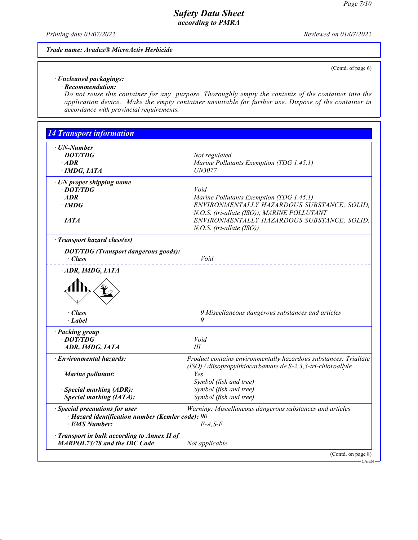*Printing date 01/07/2022 Reviewed on 01/07/2022*

### *Trade name: Avadex® MicroActiv Herbicide*

(Contd. of page 6)

#### *· Uncleaned packagings: · Recommendation:*

*Do not reuse this container for any purpose. Thoroughly empty the contents of the container into the application device. Make the empty container unsuitable for further use. Dispose of the container in accordance with provincial requirements.*

| <b>UN-Number</b>                                                                    |                                                                                                                                  |
|-------------------------------------------------------------------------------------|----------------------------------------------------------------------------------------------------------------------------------|
| $\cdot$ DOT/TDG                                                                     | Not regulated                                                                                                                    |
| $\cdot$ ADR                                                                         | Marine Pollutants Exemption (TDG 1.45.1)                                                                                         |
| $\cdot$ IMDG, IATA                                                                  | UN3077                                                                                                                           |
| $\cdot$ UN proper shipping name                                                     |                                                                                                                                  |
| $\cdot$ DOT/TDG                                                                     | Void                                                                                                                             |
| $·$ <i>ADR</i>                                                                      | Marine Pollutants Exemption (TDG 1.45.1)                                                                                         |
| $\cdot$ IMDG                                                                        | ENVIRONMENTALLY HAZARDOUS SUBSTANCE, SOLID,                                                                                      |
|                                                                                     | N.O.S. (tri-allate (ISO)), MARINE POLLUTANT                                                                                      |
| $\cdot$ IATA                                                                        | ENVIRONMENTALLY HAZARDOUS SUBSTANCE, SOLID,                                                                                      |
|                                                                                     | $N.O.S.$ (tri-allate (ISO))                                                                                                      |
| · Transport hazard class(es)                                                        |                                                                                                                                  |
| · DOT/TDG (Transport dangerous goods):                                              |                                                                                                                                  |
| · Class                                                                             | Void                                                                                                                             |
| ADR, IMDG, IATA                                                                     |                                                                                                                                  |
|                                                                                     |                                                                                                                                  |
| · Class<br>· Label                                                                  | 9 Miscellaneous dangerous substances and articles<br>9                                                                           |
| · Packing group                                                                     |                                                                                                                                  |
| · DOT/TDG                                                                           | Void                                                                                                                             |
| ADR, IMDG, IATA                                                                     | Ш                                                                                                                                |
| · Environmental hazards:                                                            | Product contains environmentally hazardous substances: Triallate<br>(ISO) / diisopropylthiocarbamate de S-2,3,3-tri-chloroallyle |
| $\cdot$ Marine pollutant:                                                           | Yes                                                                                                                              |
|                                                                                     | Symbol (fish and tree)                                                                                                           |
| · Special marking (ADR):                                                            | Symbol (fish and tree)                                                                                                           |
|                                                                                     | Symbol (fish and tree)                                                                                                           |
|                                                                                     |                                                                                                                                  |
| · Special marking (IATA):                                                           |                                                                                                                                  |
| · Special precautions for user                                                      | Warning: Miscellaneous dangerous substances and articles                                                                         |
| $\cdot$ Hazard identification number (Kemler code): 90<br>· EMS Number:             | $F-A, S-F$                                                                                                                       |
| · Transport in bulk according to Annex II of<br><b>MARPOL73/78 and the IBC Code</b> | Not applicable                                                                                                                   |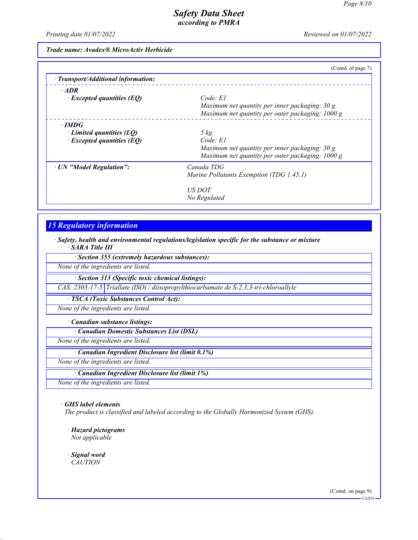*Printing date 01/07/2022 Reviewed on 01/07/2022*

*Trade name: Avadex® MicroActiv Herbicide*

|                                                                               | (Contd. of page 7)                                                                                                             |
|-------------------------------------------------------------------------------|--------------------------------------------------------------------------------------------------------------------------------|
| · Transport/Additional information:                                           |                                                                                                                                |
| $\cdot$ ADR<br>$\cdot$ Excepted quantities (EQ)                               | $Code$ $El$<br>Maximum net quantity per inner packaging: $30 g$<br>Maximum net quantity per outer packaging: 1000 g            |
| $\cdot$ IMDG<br>Limited quantities $(LQ)$<br>$\cdot$ Excepted quantities (EQ) | $5 \ kg$<br>Code: El<br>Maximum net quantity per inner packaging: $30 g$<br>Maximum net quantity per outer packaging: $1000 g$ |
| · UN "Model Regulation":                                                      | Canada TDG<br>Marine Pollutants Exemption (TDG 1.45.1)                                                                         |
|                                                                               | <i>US DOT</i><br>No Regulated                                                                                                  |

# *15 Regulatory information*

*· Safety, health and environmental regulations/legislation specific for the substance or mixture · SARA Title III*

*· Section 355 (extremely hazardous substances):*

*None of the ingredients are listed.*

*· Section 313 (Specific toxic chemical listings):*

*CAS: 2303-17-5 Triallate (ISO) / diisopropylthiocarbamate de S-2,3,3-tri-chloroallyle*

*· TSCA (Toxic Substances Control Act):*

*None of the ingredients are listed.*

*· Canadian substance listings:*

*· Canadian Domestic Substances List (DSL)*

*None of the ingredients are listed.*

*· Canadian Ingredient Disclosure list (limit 0.1%)*

*None of the ingredients are listed.*

*· Canadian Ingredient Disclosure list (limit 1%)*

*None of the ingredients are listed.*

*· GHS label elements*

*The product is classified and labeled according to the Globally Harmonized System (GHS).*

*· Hazard pictograms Not applicable*

*· Signal word CAUTION*

(Contd. on page 9)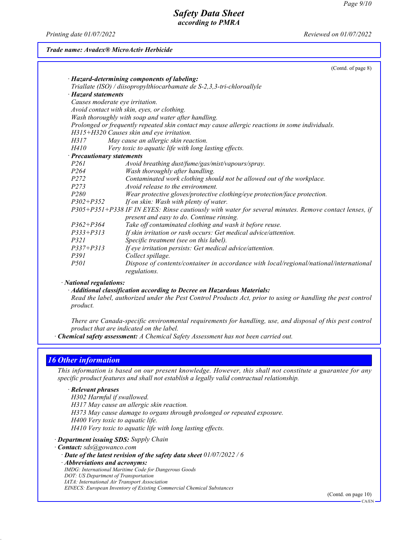*Printing date 01/07/2022 Reviewed on 01/07/2022*

### *Trade name: Avadex® MicroActiv Herbicide*

|                                 | (Contd. of page 8)                                                                                     |
|---------------------------------|--------------------------------------------------------------------------------------------------------|
|                                 | · Hazard-determining components of labeling:                                                           |
|                                 | Triallate (ISO) / diisopropylthiocarbamate de S-2,3,3-tri-chloroallyle                                 |
| · Hazard statements             |                                                                                                        |
| Causes moderate eye irritation. |                                                                                                        |
|                                 | Avoid contact with skin, eyes, or clothing.                                                            |
|                                 | Wash thoroughly with soap and water after handling.                                                    |
|                                 | Prolonged or frequently repeated skin contact may cause allergic reactions in some individuals.        |
|                                 | H315+H320 Causes skin and eye irritation.                                                              |
| H317                            | May cause an allergic skin reaction.                                                                   |
| H410                            | Very toxic to aquatic life with long lasting effects.                                                  |
| · Precautionary statements      |                                                                                                        |
| P <sub>261</sub>                | Avoid breathing dust/fume/gas/mist/vapours/spray.                                                      |
| P <sub>264</sub>                | Wash thoroughly after handling.                                                                        |
| P <sub>272</sub>                | Contaminated work clothing should not be allowed out of the workplace.                                 |
| P <sub>273</sub>                | Avoid release to the environment.                                                                      |
| P <sub>280</sub>                | Wear protective gloves/protective clothing/eye protection/face protection.                             |
| $P302 + P352$                   | If on skin: Wash with plenty of water.                                                                 |
|                                 | P305+P351+P338 IF IN EYES: Rinse cautiously with water for several minutes. Remove contact lenses, if  |
| $P362 + P364$                   | present and easy to do. Continue rinsing.                                                              |
| $P333 + P313$                   | Take off contaminated clothing and wash it before reuse.                                               |
| P321                            | If skin irritation or rash occurs: Get medical advice/attention.                                       |
|                                 | Specific treatment (see on this label).                                                                |
| $P337 + P313$                   | If eye irritation persists: Get medical advice/attention.                                              |
| P391                            | Collect spillage.                                                                                      |
| <i>P501</i>                     | Dispose of contents/container in accordance with local/regional/national/international<br>regulations. |

#### *· National regulations:*

*· Additional classification according to Decree on Hazardous Materials:*

*Read the label, authorized under the Pest Control Products Act, prior to using or handling the pest control product.*

*There are Canada-specific environmental requirements for handling, use, and disposal of this pest control product that are indicated on the label.*

*· Chemical safety assessment: A Chemical Safety Assessment has not been carried out.*

## *16 Other information*

*This information is based on our present knowledge. However, this shall not constitute a guarantee for any specific product features and shall not establish a legally valid contractual relationship.*

### *· Relevant phrases*

*H302 Harmful if swallowed. H317 May cause an allergic skin reaction. H373 May cause damage to organs through prolonged or repeated exposure. H400 Very toxic to aquatic life. H410 Very toxic to aquatic life with long lasting effects.*

*· Department issuing SDS: Supply Chain*

*· Contact: sds@gowanco.com*

- *· Date of the latest revision of the safety data sheet 01/07/2022 / 6*
- *· Abbreviations and acronyms:*
- *IMDG: International Maritime Code for Dangerous Goods*
- *DOT: US Department of Transportation*
- *IATA: International Air Transport Association*
- *EINECS: European Inventory of Existing Commercial Chemical Substances*

(Contd. on page 10)  $-C\Delta/FN$